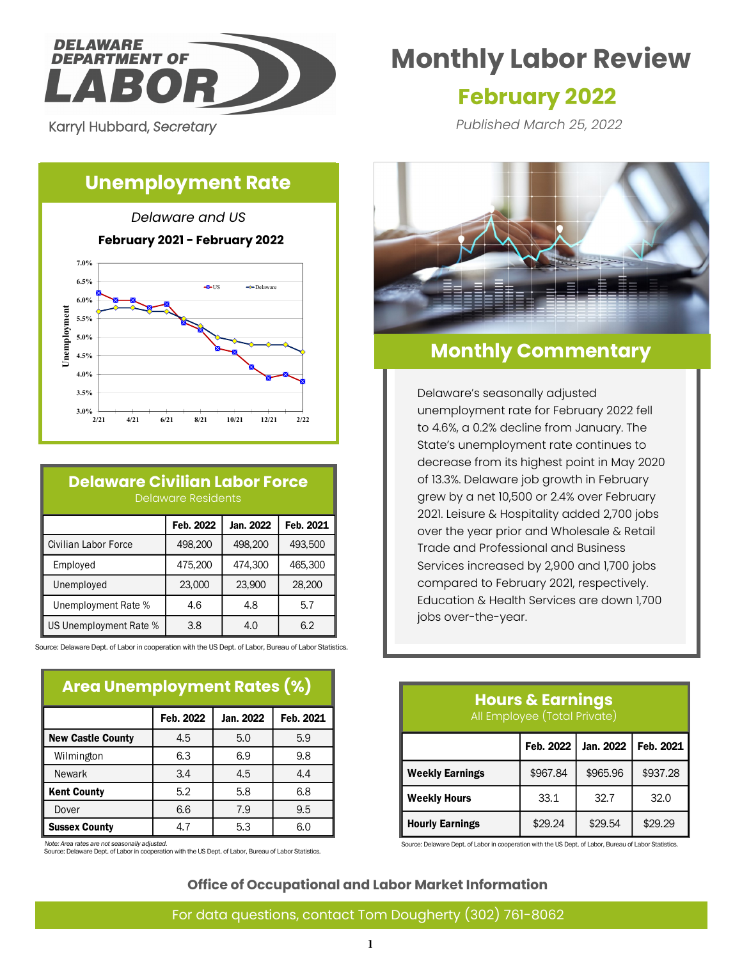

Karryl Hubbard, *Secretary* 

**6.5% 7.0%**

# **Unemployment Rate**





#### **Delaware Civilian Labor Force** Delaware Residents

|                        | Feb. 2022 | Jan. 2022 | Feb. 2021 |
|------------------------|-----------|-----------|-----------|
| Civilian Labor Force   | 498,200   | 498,200   | 493,500   |
| Employed               | 475,200   | 474,300   | 465,300   |
| Unemployed             | 23,000    | 23,900    | 28,200    |
| Unemployment Rate %    | 4.6       | 4.8       | 5.7       |
| US Unemployment Rate % | 3.8       | 4.0       | 6.2       |

Source: Delaware Dept. of Labor in cooperation with the US Dept. of Labor, Bureau of Labor Statistics.

#### **Area Unemployment Rates (%)**

|                          | Feb. 2022 | Jan. 2022 | Feb. 2021 |  |  |
|--------------------------|-----------|-----------|-----------|--|--|
| <b>New Castle County</b> | 4.5       | 5.0       | 5.9       |  |  |
| Wilmington               | 6.3       | 6.9       | 9.8       |  |  |
| <b>Newark</b>            | 3.4       | 4.5       | 4.4       |  |  |
| <b>Kent County</b>       | 5.2       | 5.8       | 6.8       |  |  |
| Dover                    | 6.6       | 7.9       | 9.5       |  |  |
| <b>Sussex County</b>     | 4.7       | 5.3       | 6.0       |  |  |

*Note: Area rates are not seasonally adjusted.*

Source: Delaware Dept. of Labor in cooperation with the US Dept. of Labor, Bureau of Labor Statistics.

# **Monthly Labor Review**

# **February 2022**

*Published March 25, 2022*



# **Monthly Commentary**

Delaware's seasonally adjusted unemployment rate for February 2022 fell to 4.6%, a 0.2% decline from January. The State's unemployment rate continues to decrease from its highest point in May 2020 of 13.3%. Delaware job growth in February grew by a net 10,500 or 2.4% over February 2021. Leisure & Hospitality added 2,700 jobs over the year prior and Wholesale & Retail Trade and Professional and Business Services increased by 2,900 and 1,700 jobs compared to February 2021, respectively. Education & Health Services are down 1,700 jobs over-the-year.

# **Hours & Earnings** All Employee (Total Private)

|                        | Feb. 2022 | Jan. 2022 l | Feb. 2021 |
|------------------------|-----------|-------------|-----------|
| <b>Weekly Earnings</b> | \$967.84  | \$965.96    | \$937.28  |
| <b>Weekly Hours</b>    | 33.1      | 32.7        | 32.0      |
| <b>Hourly Earnings</b> | \$29.24   | \$29.54     | \$29.29   |

Source: Delaware Dept. of Labor in cooperation with the US Dept. of Labor, Bureau of Labor Statistics.

#### **Office of Occupational and Labor Market Information**

#### For data questions, contact Tom Dougherty (302) 761-8062